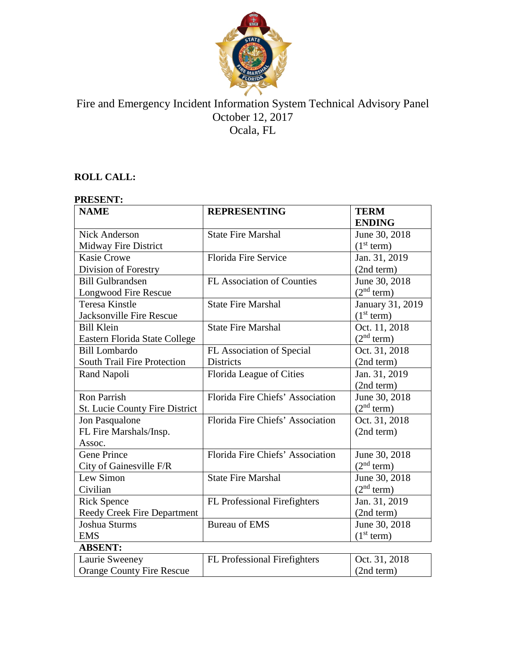

# Fire and Emergency Incident Information System Technical Advisory Panel October 12, 2017 Ocala, FL

# **ROLL CALL:**

| <b>PRESENT:</b>                  |                                  |                        |
|----------------------------------|----------------------------------|------------------------|
| <b>NAME</b>                      | <b>REPRESENTING</b>              | <b>TERM</b>            |
|                                  |                                  | <b>ENDING</b>          |
| <b>Nick Anderson</b>             | <b>State Fire Marshal</b>        | June 30, 2018          |
| Midway Fire District             |                                  | (1 <sup>st</sup> term) |
| <b>Kasie Crowe</b>               | Florida Fire Service             | Jan. 31, 2019          |
| Division of Forestry             |                                  | (2nd term)             |
| <b>Bill Gulbrandsen</b>          | FL Association of Counties       | June 30, 2018          |
| Longwood Fire Rescue             |                                  | (2 <sup>nd</sup> term) |
| <b>Teresa Kinstle</b>            | <b>State Fire Marshal</b>        | January 31, 2019       |
| <b>Jacksonville Fire Rescue</b>  |                                  | (1 <sup>st</sup> term) |
| <b>Bill Klein</b>                | <b>State Fire Marshal</b>        | Oct. 11, 2018          |
| Eastern Florida State College    |                                  | (2 <sup>nd</sup> term) |
| <b>Bill Lombardo</b>             | FL Association of Special        | Oct. 31, 2018          |
| South Trail Fire Protection      | <b>Districts</b>                 | (2nd term)             |
| Rand Napoli                      | Florida League of Cities         | Jan. 31, 2019          |
|                                  |                                  | (2nd term)             |
| <b>Ron Parrish</b>               | Florida Fire Chiefs' Association | June 30, 2018          |
| St. Lucie County Fire District   |                                  | (2 <sup>nd</sup> term) |
| Jon Pasqualone                   | Florida Fire Chiefs' Association | Oct. 31, 2018          |
| FL Fire Marshals/Insp.           |                                  | (2nd term)             |
| Assoc.                           |                                  |                        |
| <b>Gene Prince</b>               | Florida Fire Chiefs' Association | June 30, 2018          |
| City of Gainesville F/R          |                                  | (2 <sup>nd</sup> term) |
| Lew Simon                        | <b>State Fire Marshal</b>        | June 30, 2018          |
| Civilian                         |                                  | (2 <sup>nd</sup> term) |
| <b>Rick Spence</b>               | FL Professional Firefighters     | Jan. 31, 2019          |
| Reedy Creek Fire Department      |                                  | (2nd term)             |
| Joshua Sturms                    | <b>Bureau of EMS</b>             | June 30, 2018          |
| <b>EMS</b>                       |                                  | (1 <sup>st</sup> term) |
| <b>ABSENT:</b>                   |                                  |                        |
| Laurie Sweeney                   | FL Professional Firefighters     | Oct. 31, 2018          |
| <b>Orange County Fire Rescue</b> |                                  | (2nd term)             |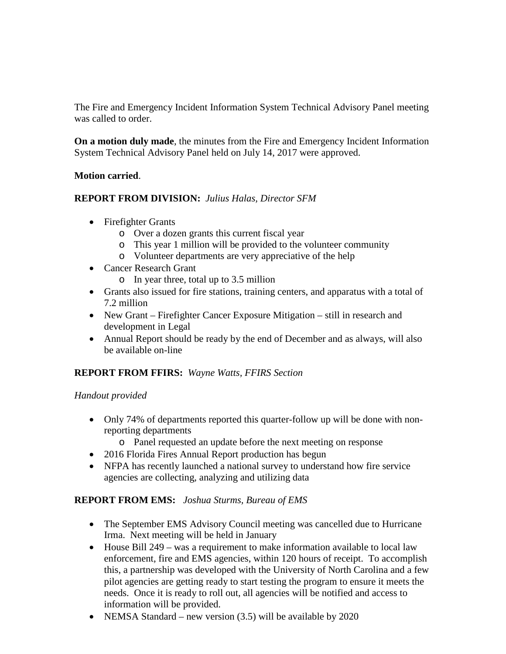The Fire and Emergency Incident Information System Technical Advisory Panel meeting was called to order.

**On a motion duly made**, the minutes from the Fire and Emergency Incident Information System Technical Advisory Panel held on July 14, 2017 were approved.

#### **Motion carried**.

## **REPORT FROM DIVISION:** *Julius Halas, Director SFM*

- Firefighter Grants
	- o Over a dozen grants this current fiscal year
	- o This year 1 million will be provided to the volunteer community
	- o Volunteer departments are very appreciative of the help
- Cancer Research Grant
	- o In year three, total up to 3.5 million
- Grants also issued for fire stations, training centers, and apparatus with a total of 7.2 million
- New Grant Firefighter Cancer Exposure Mitigation still in research and development in Legal
- Annual Report should be ready by the end of December and as always, will also be available on-line

## **REPORT FROM FFIRS:** *Wayne Watts, FFIRS Section*

## *Handout provided*

- Only 74% of departments reported this quarter-follow up will be done with nonreporting departments
	- o Panel requested an update before the next meeting on response
- 2016 Florida Fires Annual Report production has begun
- NFPA has recently launched a national survey to understand how fire service agencies are collecting, analyzing and utilizing data

## **REPORT FROM EMS:** *Joshua Sturms, Bureau of EMS*

- The September EMS Advisory Council meeting was cancelled due to Hurricane Irma. Next meeting will be held in January
- House Bill 249 was a requirement to make information available to local law enforcement, fire and EMS agencies, within 120 hours of receipt. To accomplish this, a partnership was developed with the University of North Carolina and a few pilot agencies are getting ready to start testing the program to ensure it meets the needs. Once it is ready to roll out, all agencies will be notified and access to information will be provided.
- NEMSA Standard new version (3.5) will be available by 2020